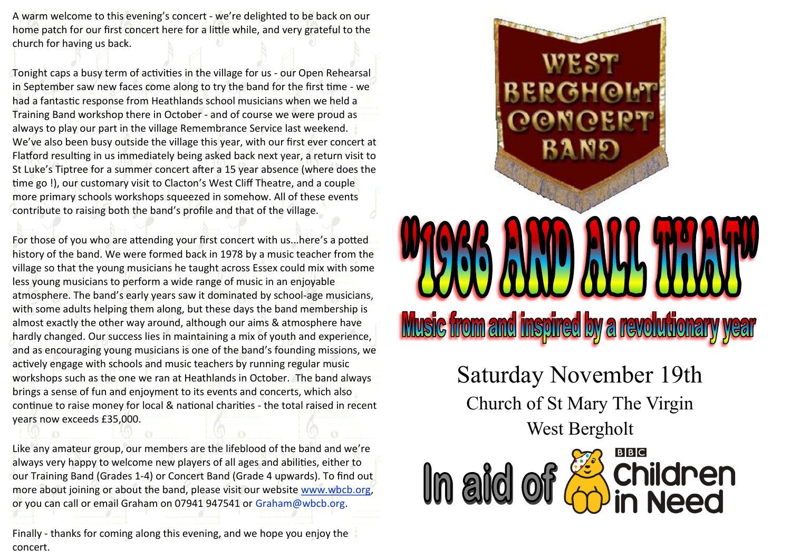A warm welcome to this evening's concert - we're delighted to be back on our home patch for our first concert here for a little while, and very grateful to the church for having us back.

Tonight caps a busy term of activities in the village for us - our Open Rehearsal in September saw new faces come along to try the band for the first time - we had a fantastic response from Heathlands school musicians when we held a Training Band workshop there in October - and of course we were proud as always to play our part in the village Remembrance Service last weekend. We've also been busy outside the village this year, with our first ever concert at Flatford resulting in us immediately being asked back next year, a return visit to St Luke's Tiptree for a summer concert after a 15 year absence (where does the time go !), our customary visit to Clacton's West Cliff Theatre, and a couple more primary schools workshops squeezed in somehow. All of these events contribute to raising both the band's profile and that of the village.

For those of you who are attending your first concert with us...here's a potted history of the band. We were formed back in 1978 by a music teacher from the village so that the young musicians he taught across Essex could mix with some less young musicians to perform a wide range of music in an enjoyable atmosphere. The band's early years saw it dominated by school-age musicians, with some adults helping them along, but these days the band membership is almost exactly the other way around, although our aims & atmosphere have hardly changed. Our success lies in maintaining a mix of youth and experience, and as encouraging young musicians is one of the band's founding missions, we actively engage with schools and music teachers by running regular music workshops such as the one we ran at Heathlands in October. The band always brings a sense of fun and enjoyment to its events and concerts, which also continue to raise money for local & national charities - the total raised in recent years now exceeds £35,000.

Like any amateur group, our members are the lifeblood of the band and we're always very happy to welcome new players of all ages and abilities, either to our Training Band (Grades 1-4) or Concert Band (Grade 4 upwards). To find out more about joining or about the band, please visit our website www.wbcb.org, or you can call or email Graham on 07941 947541 or Graham@wbcb.org.

Finally - thanks for coming along this evening, and we hope you enjoy the concert.



## **Music from and inspired by a revolutionary**

Saturday November 19th Church of St Mary The Virgin West Bergholt